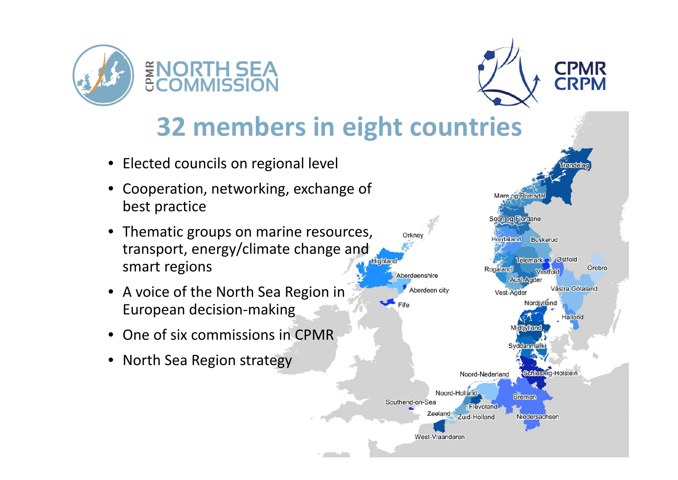



# **32 members in eight countries**

- •**•** Elected councils on regional level
- • Cooperation, networking, exchange of best practice
- • Thematic groups on marine resources, transport, energy/climate change and smart regions
- A voice of the North Sea Region in European decision‐making
- •• One of six commissions in CPMR
- •• North Sea Region strategy

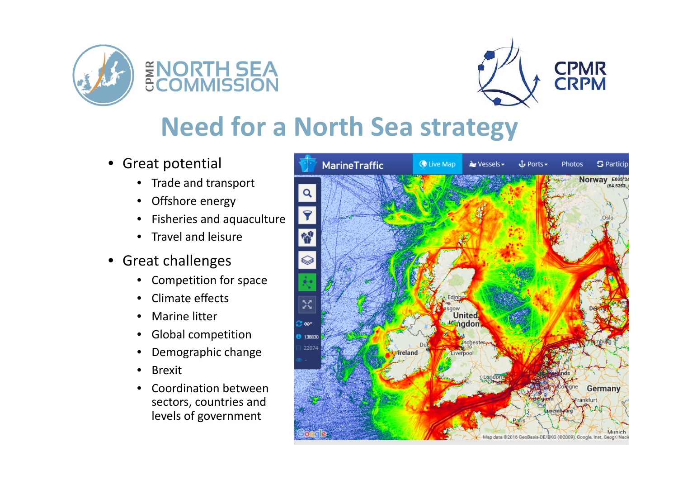



# **Need for <sup>a</sup> North Sea strategy**

- • Great potential
	- Trade and transport
	- Offshore energy
	- Fisheries and aquaculture
	- Travel and leisure
- Great challenges
	- $\bullet$ Competition for space
	- Climate effects
	- •• Marine litter
	- •Global competition
	- $\bullet$ Demographic change
	- $\bullet$ Brexit
	- • Coordination betweensectors, countries and levels of government

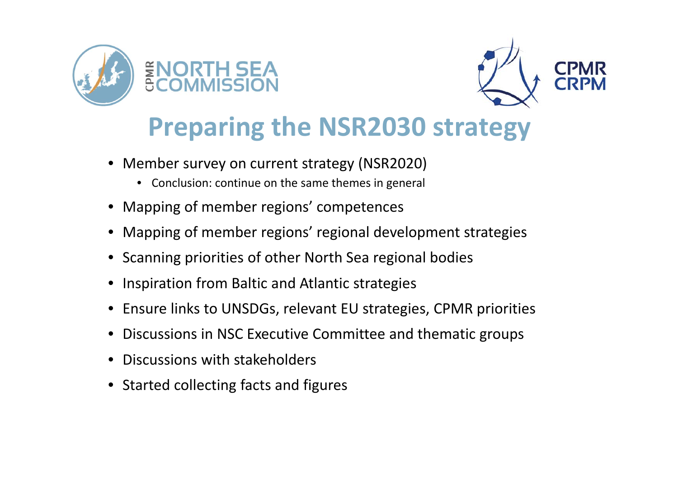



# **Preparing the NSR2030 strategy**

- • Member survey on current strategy (NSR2020)
	- $\bullet$ Conclusion: continue on the same themes in general
- •Mapping of member regions' competences
- •Mapping of member regions' regional development strategies
- Scanning priorities of other North Sea regional bodies
- •Inspiration from Baltic and Atlantic strategies
- Ensure links to UNSDGs, relevant EU strategies, CPMR priorities
- •Discussions in NSC Executive Committee and thematic groups
- •Discussions with stakeholders
- Started collecting facts and figures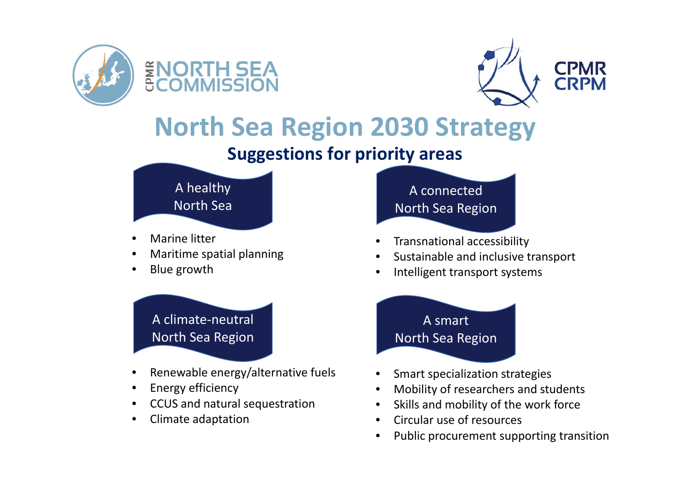



## **North Sea Region 2030 Strategy**

#### **Suggestions for priority areas**



- •• Marine litter
- •Maritime spatial planning
- •• Blue growth



- •• Renewable energy/alternative fuels
- •Energy efficiency
- •CCUS and natural sequestration
- •• Climate adaptation

#### A connected North Sea Region

- •Transnational accessibility
- •• Sustainable and inclusive transport
- •Intelligent transport systems

### n North Sea Region A smart

- •Smart specialization strategies
- •Mobility of researchers and students
- •• Skills and mobility of the work force
- •• Circular use of resources
- •• Public procurement supporting transition